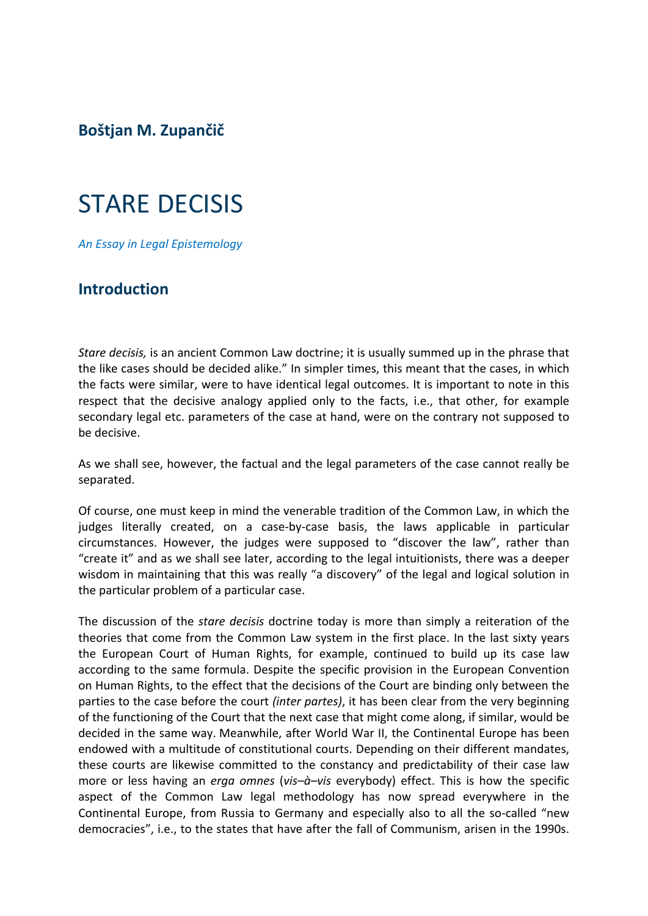**Boštjan M. Zupančič**

# STARE DECISIS

*An Essay in Legal Epistemology*

### **Introduction**

*Stare decisis,* is an ancient Common Law doctrine; it is usually summed up in the phrase that the like cases should be decided alike." In simpler times, this meant that the cases, in which the facts were similar, were to have identical legal outcomes. It is important to note in this respect that the decisive analogy applied only to the facts, i.e., that other, for example secondary legal etc. parameters of the case at hand, were on the contrary not supposed to be decisive.

As we shall see, however, the factual and the legal parameters of the case cannot really be separated.

Of course, one must keep in mind the venerable tradition of the Common Law, in which the judges literally created, on a case-by-case basis, the laws applicable in particular circumstances. However, the judges were supposed to "discover the law", rather than "create it" and as we shall see later, according to the legal intuitionists, there was a deeper wisdom in maintaining that this was really "a discovery" of the legal and logical solution in the particular problem of a particular case.

The discussion of the *stare decisis* doctrine today is more than simply a reiteration of the theories that come from the Common Law system in the first place. In the last sixty years the European Court of Human Rights, for example, continued to build up its case law according to the same formula. Despite the specific provision in the European Convention on Human Rights, to the effect that the decisions of the Court are binding only between the parties to the case before the court *(inter partes)*, it has been clear from the very beginning of the functioning of the Court that the next case that might come along, if similar, would be decided in the same way. Meanwhile, after World War II, the Continental Europe has been endowed with a multitude of constitutional courts. Depending on their different mandates, these courts are likewise committed to the constancy and predictability of their case law more or less having an *erga omnes* (*vis–à–vis* everybody) effect. This is how the specific aspect of the Common Law legal methodology has now spread everywhere in the Continental Europe, from Russia to Germany and especially also to all the so-called "new democracies", i.e., to the states that have after the fall of Communism, arisen in the 1990s.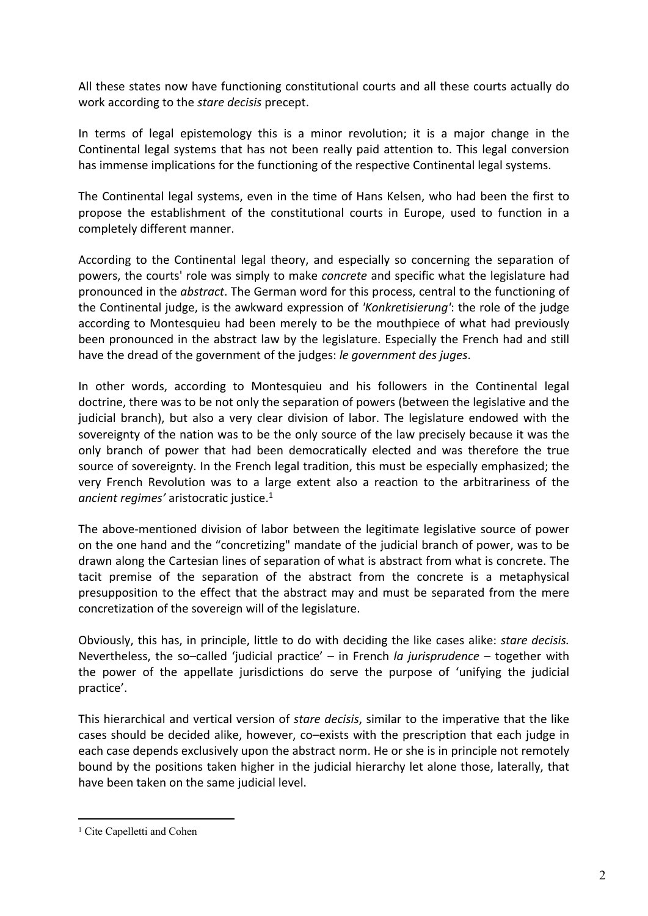All these states now have functioning constitutional courts and all these courts actually do work according to the *stare decisis* precept.

In terms of legal epistemology this is a minor revolution; it is a major change in the Continental legal systems that has not been really paid attention to. This legal conversion has immense implications for the functioning of the respective Continental legal systems.

The Continental legal systems, even in the time of Hans Kelsen, who had been the first to propose the establishment of the constitutional courts in Europe, used to function in a completely different manner.

According to the Continental legal theory, and especially so concerning the separation of powers, the courts' role was simply to make *concrete* and specific what the legislature had pronounced in the *abstract*. The German word for this process, central to the functioning of the Continental judge, is the awkward expression of *'Konkretisierung'*: the role of the judge according to Montesquieu had been merely to be the mouthpiece of what had previously been pronounced in the abstract law by the legislature. Especially the French had and still have the dread of the government of the judges: *le government des juges*.

In other words, according to Montesquieu and his followers in the Continental legal doctrine, there was to be not only the separation of powers (between the legislative and the judicial branch), but also a very clear division of labor. The legislature endowed with the sovereignty of the nation was to be the only source of the law precisely because it was the only branch of power that had been democratically elected and was therefore the true source of sovereignty. In the French legal tradition, this must be especially emphasized; the very French Revolution was to a large extent also a reaction to the arbitrariness of the *ancient regimes'* aristocratic justice.<sup>1</sup>

The above-mentioned division of labor between the legitimate legislative source of power on the one hand and the "concretizing" mandate of the judicial branch of power, was to be drawn along the Cartesian lines of separation of what is abstract from what is concrete. The tacit premise of the separation of the abstract from the concrete is a metaphysical presupposition to the effect that the abstract may and must be separated from the mere concretization of the sovereign will of the legislature.

Obviously, this has, in principle, little to do with deciding the like cases alike: *stare decisis.* Nevertheless, the so–called 'judicial practice' – in French *la jurisprudence* – together with the power of the appellate jurisdictions do serve the purpose of 'unifying the judicial practice'.

This hierarchical and vertical version of *stare decisis*, similar to the imperative that the like cases should be decided alike, however, co–exists with the prescription that each judge in each case depends exclusively upon the abstract norm. He or she is in principle not remotely bound by the positions taken higher in the judicial hierarchy let alone those, laterally, that have been taken on the same judicial level.

<sup>&</sup>lt;sup>1</sup> Cite Capelletti and Cohen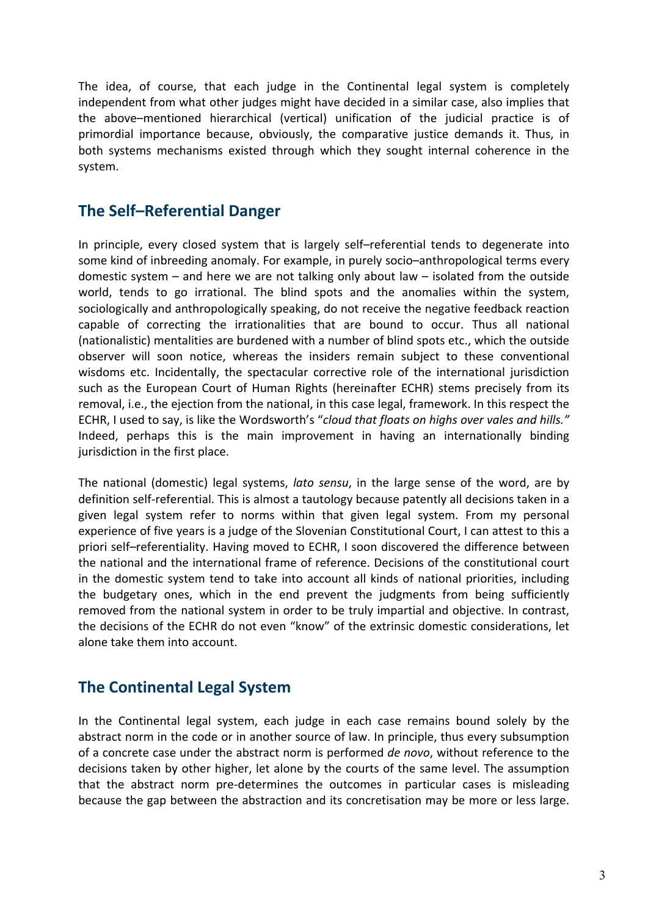The idea, of course, that each judge in the Continental legal system is completely independent from what other judges might have decided in a similar case, also implies that the above–mentioned hierarchical (vertical) unification of the judicial practice is of primordial importance because, obviously, the comparative justice demands it. Thus, in both systems mechanisms existed through which they sought internal coherence in the system.

# **The Self–Referential Danger**

In principle, every closed system that is largely self–referential tends to degenerate into some kind of inbreeding anomaly. For example, in purely socio–anthropological terms every domestic system – and here we are not talking only about law – isolated from the outside world, tends to go irrational. The blind spots and the anomalies within the system, sociologically and anthropologically speaking, do not receive the negative feedback reaction capable of correcting the irrationalities that are bound to occur. Thus all national (nationalistic) mentalities are burdened with a number of blind spots etc., which the outside observer will soon notice, whereas the insiders remain subject to these conventional wisdoms etc. Incidentally, the spectacular corrective role of the international jurisdiction such as the European Court of Human Rights (hereinafter ECHR) stems precisely from its removal, i.e., the ejection from the national, in this case legal, framework. In this respect the ECHR, I used to say, is like the Wordsworth's "*cloud that floats on highs over vales and hills."* Indeed, perhaps this is the main improvement in having an internationally binding jurisdiction in the first place.

The national (domestic) legal systems, *lato sensu*, in the large sense of the word, are by definition self-referential. This is almost a tautology because patently all decisions taken in a given legal system refer to norms within that given legal system. From my personal experience of five years is a judge of the Slovenian Constitutional Court, I can attest to this a priori self–referentiality. Having moved to ECHR, I soon discovered the difference between the national and the international frame of reference. Decisions of the constitutional court in the domestic system tend to take into account all kinds of national priorities, including the budgetary ones, which in the end prevent the judgments from being sufficiently removed from the national system in order to be truly impartial and objective. In contrast, the decisions of the ECHR do not even "know" of the extrinsic domestic considerations, let alone take them into account.

# **The Continental Legal System**

In the Continental legal system, each judge in each case remains bound solely by the abstract norm in the code or in another source of law. In principle, thus every subsumption of a concrete case under the abstract norm is performed *de novo*, without reference to the decisions taken by other higher, let alone by the courts of the same level. The assumption that the abstract norm pre-determines the outcomes in particular cases is misleading because the gap between the abstraction and its concretisation may be more or less large.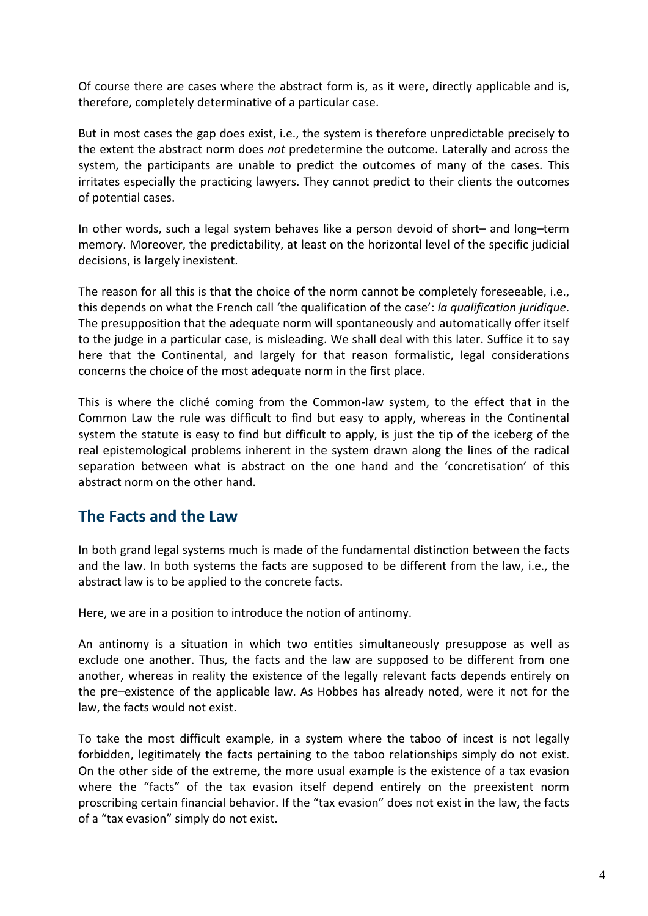Of course there are cases where the abstract form is, as it were, directly applicable and is, therefore, completely determinative of a particular case.

But in most cases the gap does exist, i.e., the system is therefore unpredictable precisely to the extent the abstract norm does *not* predetermine the outcome. Laterally and across the system, the participants are unable to predict the outcomes of many of the cases. This irritates especially the practicing lawyers. They cannot predict to their clients the outcomes of potential cases.

In other words, such a legal system behaves like a person devoid of short– and long–term memory. Moreover, the predictability, at least on the horizontal level of the specific judicial decisions, is largely inexistent.

The reason for all this is that the choice of the norm cannot be completely foreseeable, i.e., this depends on what the French call 'the qualification of the case': *la qualification juridique*. The presupposition that the adequate norm will spontaneously and automatically offer itself to the judge in a particular case, is misleading. We shall deal with this later. Suffice it to say here that the Continental, and largely for that reason formalistic, legal considerations concerns the choice of the most adequate norm in the first place.

This is where the cliché coming from the Common-law system, to the effect that in the Common Law the rule was difficult to find but easy to apply, whereas in the Continental system the statute is easy to find but difficult to apply, is just the tip of the iceberg of the real epistemological problems inherent in the system drawn along the lines of the radical separation between what is abstract on the one hand and the 'concretisation' of this abstract norm on the other hand.

## **The Facts and the Law**

In both grand legal systems much is made of the fundamental distinction between the facts and the law. In both systems the facts are supposed to be different from the law, i.e., the abstract law is to be applied to the concrete facts.

Here, we are in a position to introduce the notion of antinomy.

An antinomy is a situation in which two entities simultaneously presuppose as well as exclude one another. Thus, the facts and the law are supposed to be different from one another, whereas in reality the existence of the legally relevant facts depends entirely on the pre–existence of the applicable law. As Hobbes has already noted, were it not for the law, the facts would not exist.

To take the most difficult example, in a system where the taboo of incest is not legally forbidden, legitimately the facts pertaining to the taboo relationships simply do not exist. On the other side of the extreme, the more usual example is the existence of a tax evasion where the "facts" of the tax evasion itself depend entirely on the preexistent norm proscribing certain financial behavior. If the "tax evasion" does not exist in the law, the facts of a "tax evasion" simply do not exist.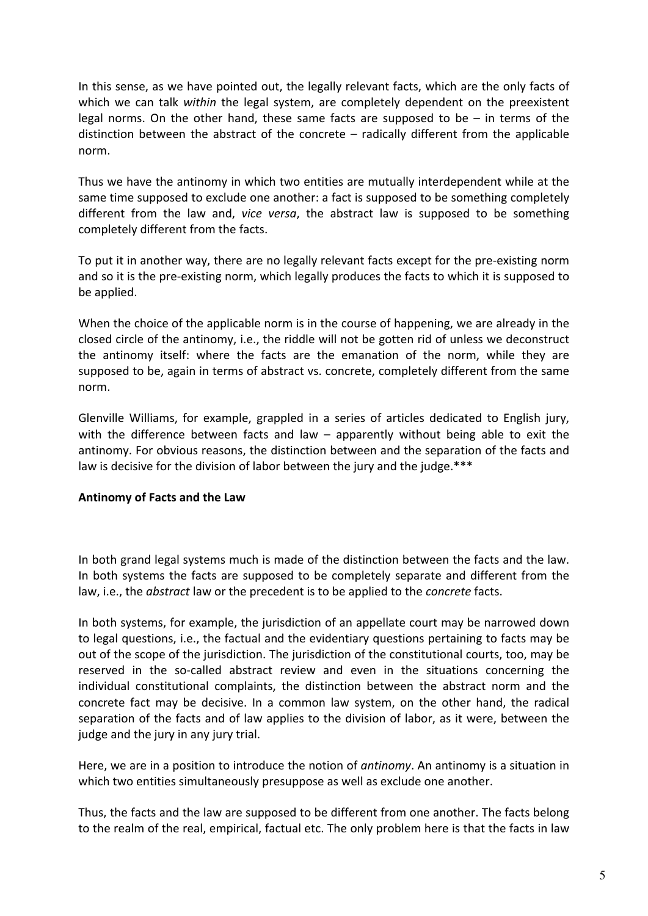In this sense, as we have pointed out, the legally relevant facts, which are the only facts of which we can talk *within* the legal system, are completely dependent on the preexistent legal norms. On the other hand, these same facts are supposed to be  $-$  in terms of the distinction between the abstract of the concrete – radically different from the applicable norm.

Thus we have the antinomy in which two entities are mutually interdependent while at the same time supposed to exclude one another: a fact is supposed to be something completely different from the law and, *vice versa*, the abstract law is supposed to be something completely different from the facts.

To put it in another way, there are no legally relevant facts except for the pre-existing norm and so it is the pre-existing norm, which legally produces the facts to which it is supposed to be applied.

When the choice of the applicable norm is in the course of happening, we are already in the closed circle of the antinomy, i.e., the riddle will not be gotten rid of unless we deconstruct the antinomy itself: where the facts are the emanation of the norm, while they are supposed to be, again in terms of abstract vs. concrete, completely different from the same norm.

Glenville Williams, for example, grappled in a series of articles dedicated to English jury, with the difference between facts and law – apparently without being able to exit the antinomy. For obvious reasons, the distinction between and the separation of the facts and law is decisive for the division of labor between the jury and the judge.\*\*\*

#### **Antinomy of Facts and the Law**

In both grand legal systems much is made of the distinction between the facts and the law. In both systems the facts are supposed to be completely separate and different from the law, i.e., the *abstract* law or the precedent is to be applied to the *concrete* facts.

In both systems, for example, the jurisdiction of an appellate court may be narrowed down to legal questions, i.e., the factual and the evidentiary questions pertaining to facts may be out of the scope of the jurisdiction. The jurisdiction of the constitutional courts, too, may be reserved in the so-called abstract review and even in the situations concerning the individual constitutional complaints, the distinction between the abstract norm and the concrete fact may be decisive. In a common law system, on the other hand, the radical separation of the facts and of law applies to the division of labor, as it were, between the judge and the jury in any jury trial.

Here, we are in a position to introduce the notion of *antinomy*. An antinomy is a situation in which two entities simultaneously presuppose as well as exclude one another.

Thus, the facts and the law are supposed to be different from one another. The facts belong to the realm of the real, empirical, factual etc. The only problem here is that the facts in law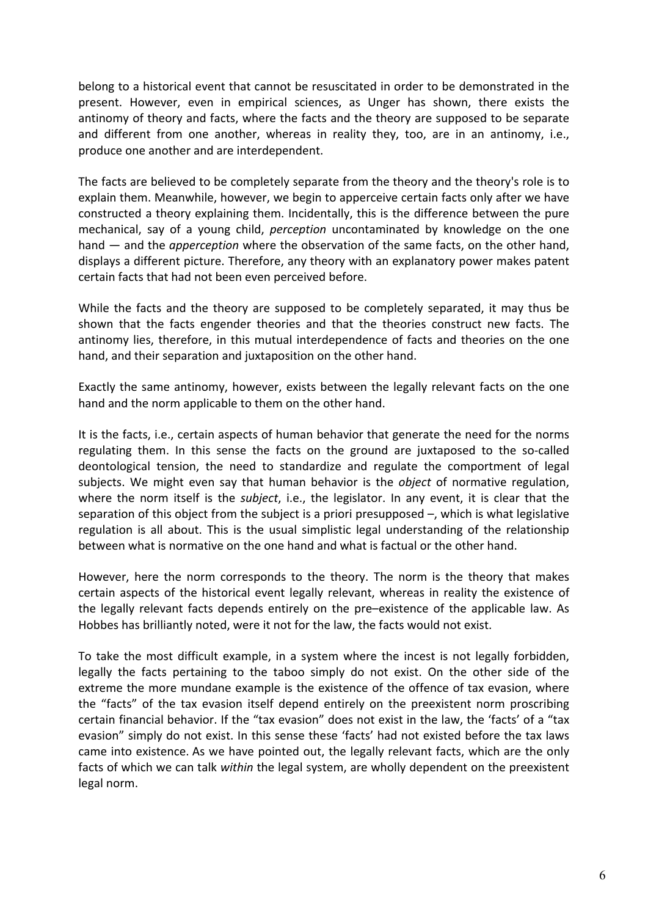belong to a historical event that cannot be resuscitated in order to be demonstrated in the present. However, even in empirical sciences, as Unger has shown, there exists the antinomy of theory and facts, where the facts and the theory are supposed to be separate and different from one another, whereas in reality they, too, are in an antinomy, i.e., produce one another and are interdependent.

The facts are believed to be completely separate from the theory and the theory's role is to explain them. Meanwhile, however, we begin to apperceive certain facts only after we have constructed a theory explaining them. Incidentally, this is the difference between the pure mechanical, say of a young child, *perception* uncontaminated by knowledge on the one hand — and the *apperception* where the observation of the same facts, on the other hand, displays a different picture. Therefore, any theory with an explanatory power makes patent certain facts that had not been even perceived before.

While the facts and the theory are supposed to be completely separated, it may thus be shown that the facts engender theories and that the theories construct new facts. The antinomy lies, therefore, in this mutual interdependence of facts and theories on the one hand, and their separation and juxtaposition on the other hand.

Exactly the same antinomy, however, exists between the legally relevant facts on the one hand and the norm applicable to them on the other hand.

It is the facts, i.e., certain aspects of human behavior that generate the need for the norms regulating them. In this sense the facts on the ground are juxtaposed to the so-called deontological tension, the need to standardize and regulate the comportment of legal subjects. We might even say that human behavior is the *object* of normative regulation, where the norm itself is the *subject*, i.e., the legislator. In any event, it is clear that the separation of this object from the subject is a priori presupposed –, which is what legislative regulation is all about. This is the usual simplistic legal understanding of the relationship between what is normative on the one hand and what is factual or the other hand.

However, here the norm corresponds to the theory. The norm is the theory that makes certain aspects of the historical event legally relevant, whereas in reality the existence of the legally relevant facts depends entirely on the pre–existence of the applicable law. As Hobbes has brilliantly noted, were it not for the law, the facts would not exist.

To take the most difficult example, in a system where the incest is not legally forbidden, legally the facts pertaining to the taboo simply do not exist. On the other side of the extreme the more mundane example is the existence of the offence of tax evasion, where the "facts" of the tax evasion itself depend entirely on the preexistent norm proscribing certain financial behavior. If the "tax evasion" does not exist in the law, the 'facts' of a "tax evasion" simply do not exist. In this sense these 'facts' had not existed before the tax laws came into existence. As we have pointed out, the legally relevant facts, which are the only facts of which we can talk *within* the legal system, are wholly dependent on the preexistent legal norm.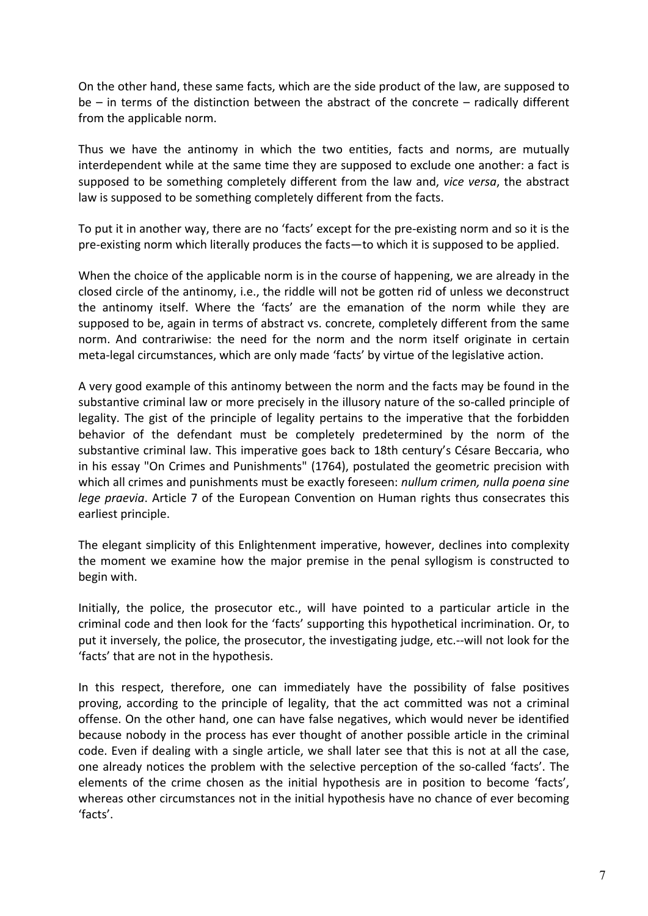On the other hand, these same facts, which are the side product of the law, are supposed to be – in terms of the distinction between the abstract of the concrete – radically different from the applicable norm.

Thus we have the antinomy in which the two entities, facts and norms, are mutually interdependent while at the same time they are supposed to exclude one another: a fact is supposed to be something completely different from the law and, *vice versa*, the abstract law is supposed to be something completely different from the facts.

To put it in another way, there are no 'facts' except for the pre-existing norm and so it is the pre-existing norm which literally produces the facts—to which it is supposed to be applied.

When the choice of the applicable norm is in the course of happening, we are already in the closed circle of the antinomy, i.e., the riddle will not be gotten rid of unless we deconstruct the antinomy itself. Where the 'facts' are the emanation of the norm while they are supposed to be, again in terms of abstract vs. concrete, completely different from the same norm. And contrariwise: the need for the norm and the norm itself originate in certain meta-legal circumstances, which are only made 'facts' by virtue of the legislative action.

A very good example of this antinomy between the norm and the facts may be found in the substantive criminal law or more precisely in the illusory nature of the so-called principle of legality. The gist of the principle of legality pertains to the imperative that the forbidden behavior of the defendant must be completely predetermined by the norm of the substantive criminal law. This imperative goes back to 18th century's Césare Beccaria, who in his essay "On Crimes and Punishments" (1764), postulated the geometric precision with which all crimes and punishments must be exactly foreseen: *nullum crimen, nulla poena sine lege praevia*. Article 7 of the European Convention on Human rights thus consecrates this earliest principle.

The elegant simplicity of this Enlightenment imperative, however, declines into complexity the moment we examine how the major premise in the penal syllogism is constructed to begin with.

Initially, the police, the prosecutor etc., will have pointed to a particular article in the criminal code and then look for the 'facts' supporting this hypothetical incrimination. Or, to put it inversely, the police, the prosecutor, the investigating judge, etc.--will not look for the 'facts' that are not in the hypothesis.

In this respect, therefore, one can immediately have the possibility of false positives proving, according to the principle of legality, that the act committed was not a criminal offense. On the other hand, one can have false negatives, which would never be identified because nobody in the process has ever thought of another possible article in the criminal code. Even if dealing with a single article, we shall later see that this is not at all the case, one already notices the problem with the selective perception of the so-called 'facts'. The elements of the crime chosen as the initial hypothesis are in position to become 'facts', whereas other circumstances not in the initial hypothesis have no chance of ever becoming 'facts'.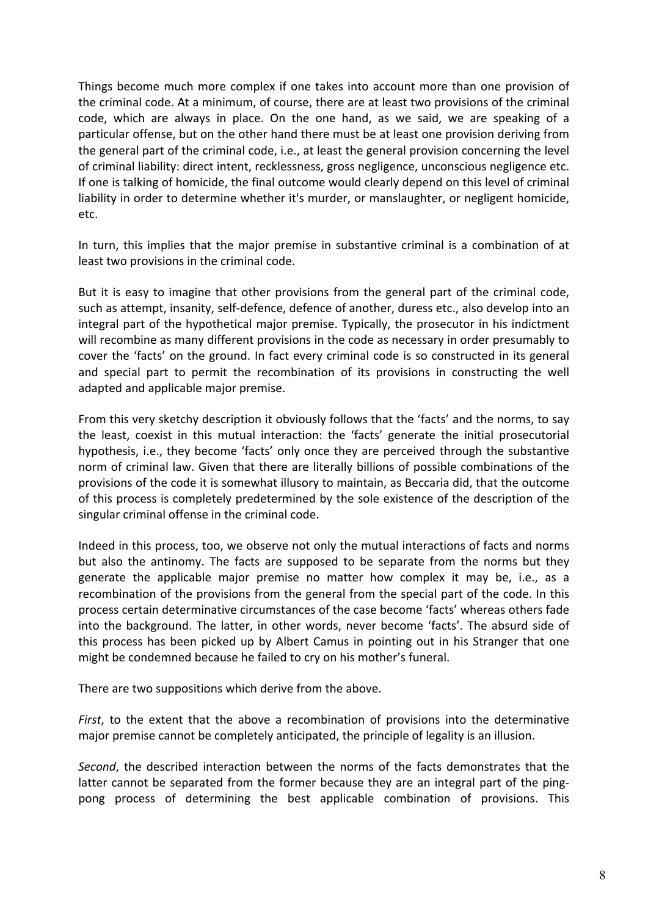Things become much more complex if one takes into account more than one provision of the criminal code. At a minimum, of course, there are at least two provisions of the criminal code, which are always in place. On the one hand, as we said, we are speaking of a particular offense, but on the other hand there must be at least one provision deriving from the general part of the criminal code, i.e., at least the general provision concerning the level of criminal liability: direct intent, recklessness, gross negligence, unconscious negligence etc. If one is talking of homicide, the final outcome would clearly depend on this level of criminal liability in order to determine whether it's murder, or manslaughter, or negligent homicide, etc.

In turn, this implies that the major premise in substantive criminal is a combination of at least two provisions in the criminal code.

But it is easy to imagine that other provisions from the general part of the criminal code, such as attempt, insanity, self-defence, defence of another, duress etc., also develop into an integral part of the hypothetical major premise. Typically, the prosecutor in his indictment will recombine as many different provisions in the code as necessary in order presumably to cover the 'facts' on the ground. In fact every criminal code is so constructed in its general and special part to permit the recombination of its provisions in constructing the well adapted and applicable major premise.

From this very sketchy description it obviously follows that the 'facts' and the norms, to say the least, coexist in this mutual interaction: the 'facts' generate the initial prosecutorial hypothesis, i.e., they become 'facts' only once they are perceived through the substantive norm of criminal law. Given that there are literally billions of possible combinations of the provisions of the code it is somewhat illusory to maintain, as Beccaria did, that the outcome of this process is completely predetermined by the sole existence of the description of the singular criminal offense in the criminal code.

Indeed in this process, too, we observe not only the mutual interactions of facts and norms but also the antinomy. The facts are supposed to be separate from the norms but they generate the applicable major premise no matter how complex it may be, i.e., as a recombination of the provisions from the general from the special part of the code. In this process certain determinative circumstances of the case become 'facts' whereas others fade into the background. The latter, in other words, never become 'facts'. The absurd side of this process has been picked up by Albert Camus in pointing out in his Stranger that one might be condemned because he failed to cry on his mother's funeral.

There are two suppositions which derive from the above.

*First*, to the extent that the above a recombination of provisions into the determinative major premise cannot be completely anticipated, the principle of legality is an illusion.

*Second*, the described interaction between the norms of the facts demonstrates that the latter cannot be separated from the former because they are an integral part of the pingpong process of determining the best applicable combination of provisions. This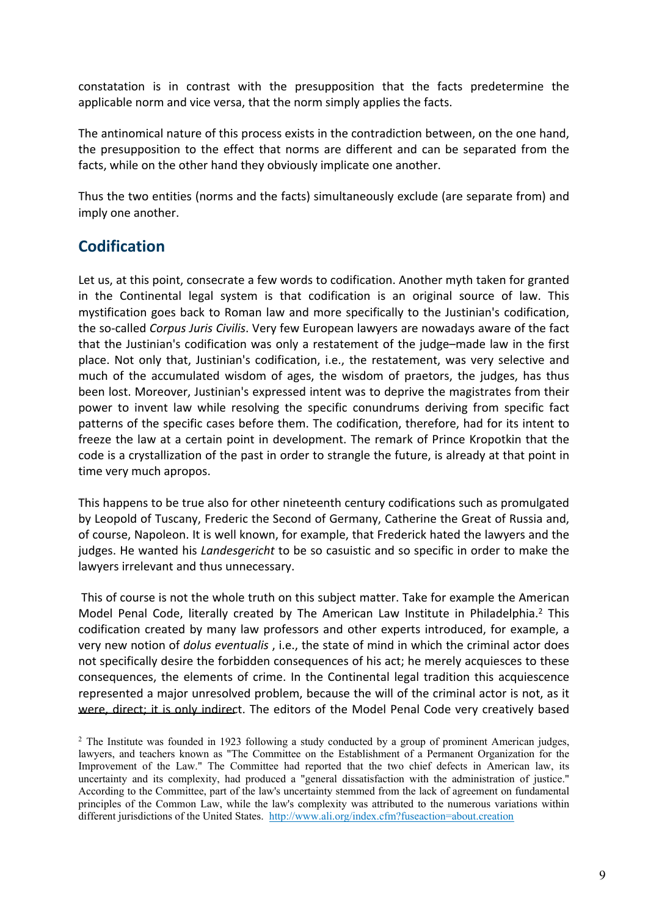

 $\mathbf{u}$ 

 $\frac{1}{2}$  $\blacksquare$  $\ddot{\phantom{a}}$ 







 $\overline{5}$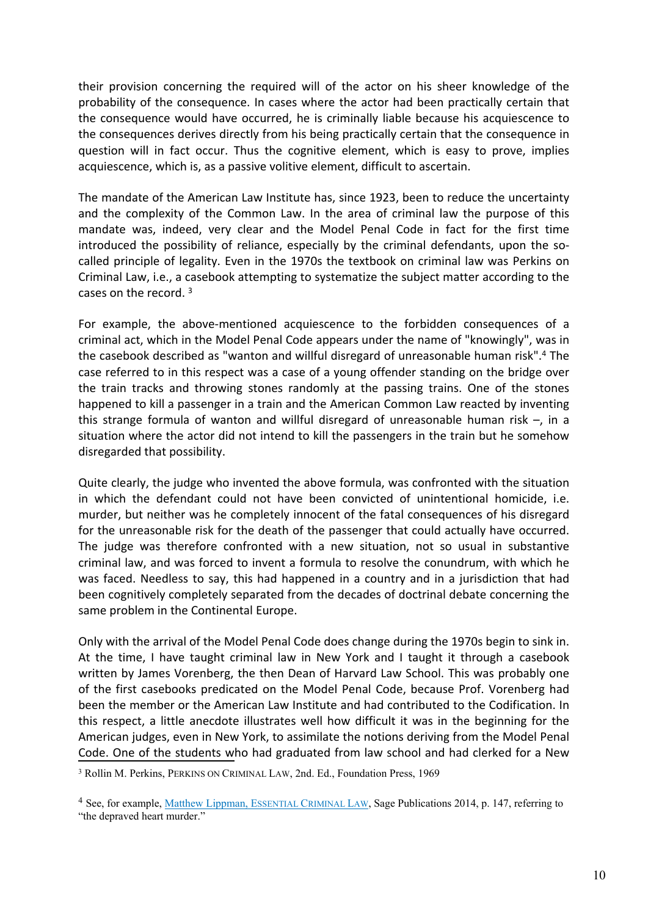

 $6\phantom{a}$